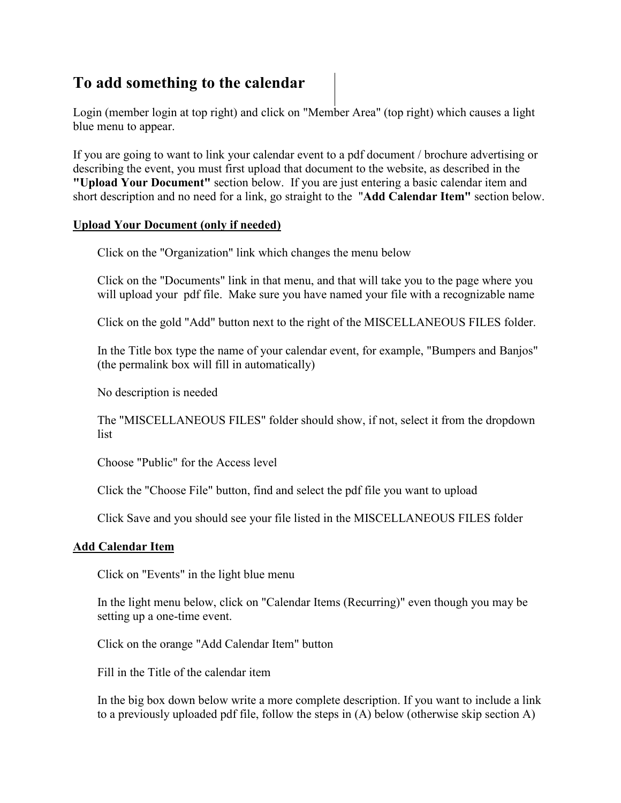## **To add something to the calendar**

Login (member login at top right) and click on "Member Area" (top right) which causes a light blue menu to appear.

If you are going to want to link your calendar event to a pdf document / brochure advertising or describing the event, you must first upload that document to the website, as described in the **"Upload Your Document"** section below. If you are just entering a basic calendar item and short description and no need for a link, go straight to the "**Add Calendar Item"** section below.

## **Upload Your Document (only if needed)**

Click on the "Organization" link which changes the menu below

Click on the "Documents" link in that menu, and that will take you to the page where you will upload your pdf file. Make sure you have named your file with a recognizable name

Click on the gold "Add" button next to the right of the MISCELLANEOUS FILES folder.

In the Title box type the name of your calendar event, for example, "Bumpers and Banjos" (the permalink box will fill in automatically)

No description is needed

The "MISCELLANEOUS FILES" folder should show, if not, select it from the dropdown list

Choose "Public" for the Access level

Click the "Choose File" button, find and select the pdf file you want to upload

Click Save and you should see your file listed in the MISCELLANEOUS FILES folder

## **Add Calendar Item**

Click on "Events" in the light blue menu

In the light menu below, click on "Calendar Items (Recurring)" even though you may be setting up a one-time event.

Click on the orange "Add Calendar Item" button

Fill in the Title of the calendar item

In the big box down below write a more complete description. If you want to include a link to a previously uploaded pdf file, follow the steps in (A) below (otherwise skip section A)